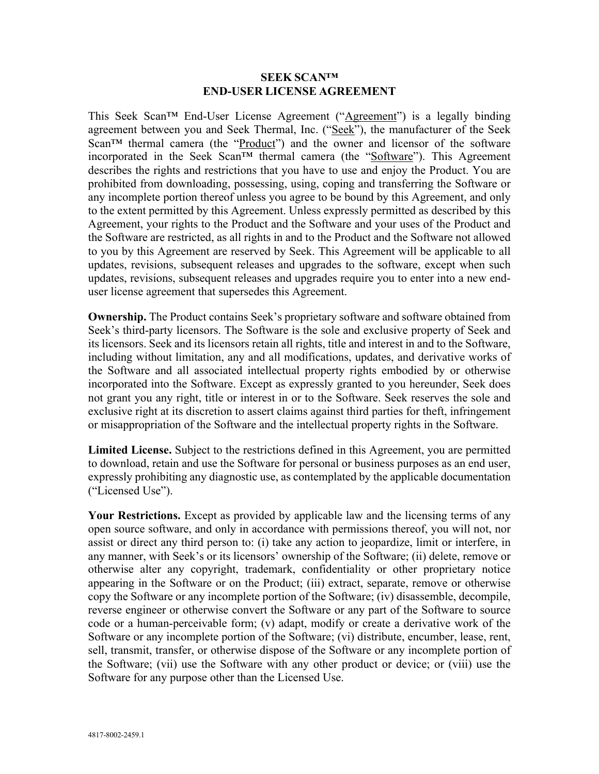## **SEEK SCAN™ END-USER LICENSE AGREEMENT**

This Seek Scan™ End-User License Agreement ("Agreement") is a legally binding agreement between you and Seek Thermal, Inc. ("Seek"), the manufacturer of the Seek Scan<sup>TM</sup> thermal camera (the " $Product$ ") and the owner and licensor of the software incorporated in the Seek Scan™ thermal camera (the "Software"). This Agreement describes the rights and restrictions that you have to use and enjoy the Product. You are prohibited from downloading, possessing, using, coping and transferring the Software or any incomplete portion thereof unless you agree to be bound by this Agreement, and only to the extent permitted by this Agreement. Unless expressly permitted as described by this Agreement, your rights to the Product and the Software and your uses of the Product and the Software are restricted, as all rights in and to the Product and the Software not allowed to you by this Agreement are reserved by Seek. This Agreement will be applicable to all updates, revisions, subsequent releases and upgrades to the software, except when such updates, revisions, subsequent releases and upgrades require you to enter into a new enduser license agreement that supersedes this Agreement.

**Ownership.** The Product contains Seek's proprietary software and software obtained from Seek's third-party licensors. The Software is the sole and exclusive property of Seek and its licensors. Seek and its licensors retain all rights, title and interest in and to the Software, including without limitation, any and all modifications, updates, and derivative works of the Software and all associated intellectual property rights embodied by or otherwise incorporated into the Software. Except as expressly granted to you hereunder, Seek does not grant you any right, title or interest in or to the Software. Seek reserves the sole and exclusive right at its discretion to assert claims against third parties for theft, infringement or misappropriation of the Software and the intellectual property rights in the Software.

**Limited License.** Subject to the restrictions defined in this Agreement, you are permitted to download, retain and use the Software for personal or business purposes as an end user, expressly prohibiting any diagnostic use, as contemplated by the applicable documentation ("Licensed Use").

**Your Restrictions.** Except as provided by applicable law and the licensing terms of any open source software, and only in accordance with permissions thereof, you will not, nor assist or direct any third person to: (i) take any action to jeopardize, limit or interfere, in any manner, with Seek's or its licensors' ownership of the Software; (ii) delete, remove or otherwise alter any copyright, trademark, confidentiality or other proprietary notice appearing in the Software or on the Product; (iii) extract, separate, remove or otherwise copy the Software or any incomplete portion of the Software; (iv) disassemble, decompile, reverse engineer or otherwise convert the Software or any part of the Software to source code or a human-perceivable form; (v) adapt, modify or create a derivative work of the Software or any incomplete portion of the Software; (vi) distribute, encumber, lease, rent, sell, transmit, transfer, or otherwise dispose of the Software or any incomplete portion of the Software; (vii) use the Software with any other product or device; or (viii) use the Software for any purpose other than the Licensed Use.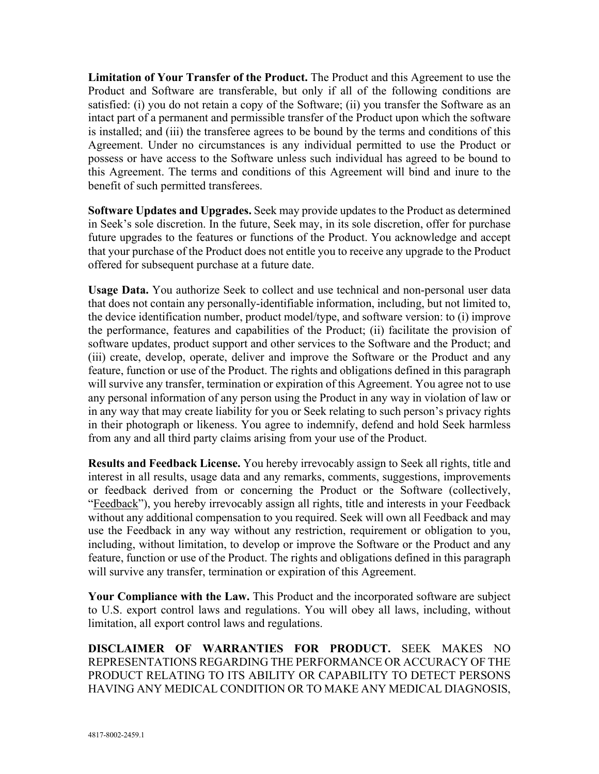**Limitation of Your Transfer of the Product.** The Product and this Agreement to use the Product and Software are transferable, but only if all of the following conditions are satisfied: (i) you do not retain a copy of the Software; (ii) you transfer the Software as an intact part of a permanent and permissible transfer of the Product upon which the software is installed; and (iii) the transferee agrees to be bound by the terms and conditions of this Agreement. Under no circumstances is any individual permitted to use the Product or possess or have access to the Software unless such individual has agreed to be bound to this Agreement. The terms and conditions of this Agreement will bind and inure to the benefit of such permitted transferees.

**Software Updates and Upgrades.** Seek may provide updates to the Product as determined in Seek's sole discretion. In the future, Seek may, in its sole discretion, offer for purchase future upgrades to the features or functions of the Product. You acknowledge and accept that your purchase of the Product does not entitle you to receive any upgrade to the Product offered for subsequent purchase at a future date.

**Usage Data.** You authorize Seek to collect and use technical and non-personal user data that does not contain any personally-identifiable information, including, but not limited to, the device identification number, product model/type, and software version: to (i) improve the performance, features and capabilities of the Product; (ii) facilitate the provision of software updates, product support and other services to the Software and the Product; and (iii) create, develop, operate, deliver and improve the Software or the Product and any feature, function or use of the Product. The rights and obligations defined in this paragraph will survive any transfer, termination or expiration of this Agreement. You agree not to use any personal information of any person using the Product in any way in violation of law or in any way that may create liability for you or Seek relating to such person's privacy rights in their photograph or likeness. You agree to indemnify, defend and hold Seek harmless from any and all third party claims arising from your use of the Product.

**Results and Feedback License.** You hereby irrevocably assign to Seek all rights, title and interest in all results, usage data and any remarks, comments, suggestions, improvements or feedback derived from or concerning the Product or the Software (collectively, "Feedback"), you hereby irrevocably assign all rights, title and interests in your Feedback without any additional compensation to you required. Seek will own all Feedback and may use the Feedback in any way without any restriction, requirement or obligation to you, including, without limitation, to develop or improve the Software or the Product and any feature, function or use of the Product. The rights and obligations defined in this paragraph will survive any transfer, termination or expiration of this Agreement.

**Your Compliance with the Law.** This Product and the incorporated software are subject to U.S. export control laws and regulations. You will obey all laws, including, without limitation, all export control laws and regulations.

**DISCLAIMER OF WARRANTIES FOR PRODUCT.** SEEK MAKES NO REPRESENTATIONS REGARDING THE PERFORMANCE OR ACCURACY OF THE PRODUCT RELATING TO ITS ABILITY OR CAPABILITY TO DETECT PERSONS HAVING ANY MEDICAL CONDITION OR TO MAKE ANY MEDICAL DIAGNOSIS,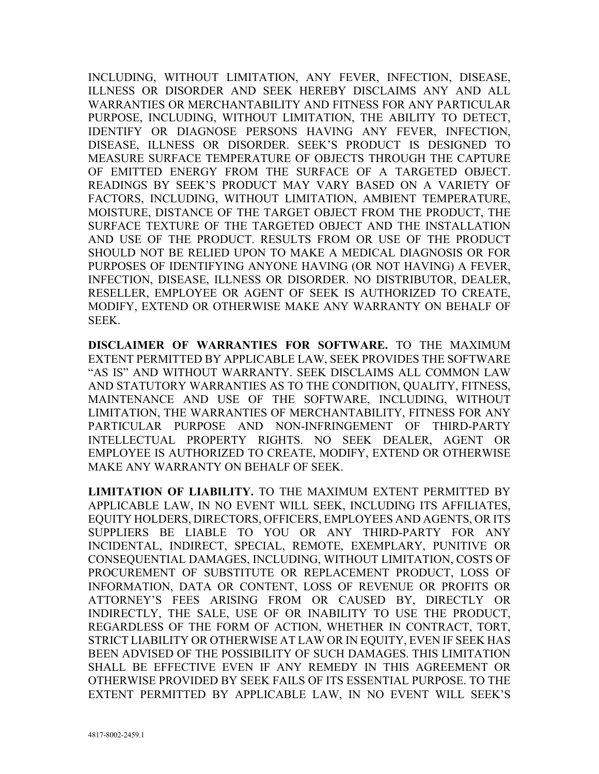INCLUDING, WITHOUT LIMITATION, ANY FEVER, INFECTION, DISEASE, ILLNESS OR DISORDER AND SEEK HEREBY DISCLAIMS ANY AND ALL WARRANTIES OR MERCHANTABILITY AND FITNESS FOR ANY PARTICULAR PURPOSE, INCLUDING, WITHOUT LIMITATION, THE ABILITY TO DETECT, IDENTIFY OR DIAGNOSE PERSONS HAVING ANY FEVER, INFECTION, DISEASE, ILLNESS OR DISORDER. SEEK'S PRODUCT IS DESIGNED TO MEASURE SURFACE TEMPERATURE OF OBJECTS THROUGH THE CAPTURE OF EMITTED ENERGY FROM THE SURFACE OF A TARGETED OBJECT. READINGS BY SEEK'S PRODUCT MAY VARY BASED ON A VARIETY OF FACTORS, INCLUDING, WITHOUT LIMITATION, AMBIENT TEMPERATURE, MOISTURE, DISTANCE OF THE TARGET OBJECT FROM THE PRODUCT, THE SURFACE TEXTURE OF THE TARGETED OBJECT AND THE INSTALLATION AND USE OF THE PRODUCT. RESULTS FROM OR USE OF THE PRODUCT SHOULD NOT BE RELIED UPON TO MAKE A MEDICAL DIAGNOSIS OR FOR PURPOSES OF IDENTIFYING ANYONE HAVING (OR NOT HAVING) A FEVER, INFECTION, DISEASE, ILLNESS OR DISORDER. NO DISTRIBUTOR, DEALER, RESELLER, EMPLOYEE OR AGENT OF SEEK IS AUTHORIZED TO CREATE, MODIFY, EXTEND OR OTHERWISE MAKE ANY WARRANTY ON BEHALF OF SEEK.

**DISCLAIMER OF WARRANTIES FOR SOFTWARE.** TO THE MAXIMUM EXTENT PERMITTED BY APPLICABLE LAW, SEEK PROVIDES THE SOFTWARE "AS IS" AND WITHOUT WARRANTY. SEEK DISCLAIMS ALL COMMON LAW AND STATUTORY WARRANTIES AS TO THE CONDITION, QUALITY, FITNESS, MAINTENANCE AND USE OF THE SOFTWARE, INCLUDING, WITHOUT LIMITATION, THE WARRANTIES OF MERCHANTABILITY, FITNESS FOR ANY PARTICULAR PURPOSE AND NON-INFRINGEMENT OF THIRD-PARTY INTELLECTUAL PROPERTY RIGHTS. NO SEEK DEALER, AGENT OR EMPLOYEE IS AUTHORIZED TO CREATE, MODIFY, EXTEND OR OTHERWISE MAKE ANY WARRANTY ON BEHALF OF SEEK.

**LIMITATION OF LIABILITY.** TO THE MAXIMUM EXTENT PERMITTED BY APPLICABLE LAW, IN NO EVENT WILL SEEK, INCLUDING ITS AFFILIATES, EQUITY HOLDERS, DIRECTORS, OFFICERS, EMPLOYEES AND AGENTS, OR ITS SUPPLIERS BE LIABLE TO YOU OR ANY THIRD-PARTY FOR ANY INCIDENTAL, INDIRECT, SPECIAL, REMOTE, EXEMPLARY, PUNITIVE OR CONSEQUENTIAL DAMAGES, INCLUDING, WITHOUT LIMITATION, COSTS OF PROCUREMENT OF SUBSTITUTE OR REPLACEMENT PRODUCT, LOSS OF INFORMATION, DATA OR CONTENT, LOSS OF REVENUE OR PROFITS OR ATTORNEY'S FEES ARISING FROM OR CAUSED BY, DIRECTLY OR INDIRECTLY, THE SALE, USE OF OR INABILITY TO USE THE PRODUCT, REGARDLESS OF THE FORM OF ACTION, WHETHER IN CONTRACT, TORT, STRICT LIABILITY OR OTHERWISE AT LAW OR IN EQUITY, EVEN IF SEEK HAS BEEN ADVISED OF THE POSSIBILITY OF SUCH DAMAGES. THIS LIMITATION SHALL BE EFFECTIVE EVEN IF ANY REMEDY IN THIS AGREEMENT OR OTHERWISE PROVIDED BY SEEK FAILS OF ITS ESSENTIAL PURPOSE. TO THE EXTENT PERMITTED BY APPLICABLE LAW, IN NO EVENT WILL SEEK'S